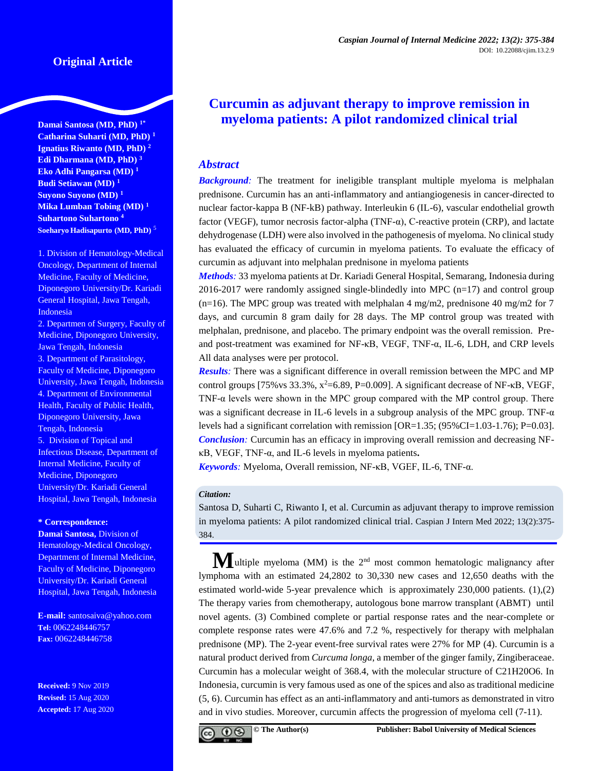# **Original Article**

**Damai Santosa (MD, PhD) 1\* Catharina Suharti (MD, PhD) <sup>1</sup> Ignatius Riwanto (MD, PhD) <sup>2</sup> Edi Dharmana (MD, PhD) <sup>3</sup> Eko Adhi Pangarsa (MD) <sup>1</sup> Budi Setiawan (MD) <sup>1</sup> Suyono Suyono (MD) <sup>1</sup> Mika Lumban Tobing (MD) <sup>1</sup> Suhartono Suhartono <sup>4</sup> Soeharyo Hadisapurto (MD, PhD)** <sup>5</sup>

1. Division of Hematology-Medical Oncology, Department of Internal Medicine, Faculty of Medicine, Diponegoro University/Dr. Kariadi General Hospital, Jawa Tengah, Indonesia

2. Departmen of Surgery, Faculty of Medicine, Diponegoro University, Jawa Tengah, Indonesia 3. Department of Parasitology, Faculty of Medicine, Diponegoro University, Jawa Tengah, Indonesia 4. Department of Environmental Health, Faculty of Public Health, Diponegoro University, Jawa Tengah, Indonesia 5. Division of Topical and Infectious Disease, Department of Internal Medicine, Faculty of Medicine, Diponegoro University/Dr. Kariadi General Hospital, Jawa Tengah, Indonesia

#### **\* Correspondence:**

**Damai Santosa,** Division of Hematology-Medical Oncology, Department of Internal Medicine, Faculty of Medicine, Diponegoro University/Dr. Kariadi General Hospital, Jawa Tengah, Indonesia

**E-mail:** [santosaiva@yahoo.com](mailto:santosaiva@yahoo.com) **Tel:** 0062248446757 **Fax:** 0062248446758

**Received:** 9 Nov 2019 **Revised:** 15 Aug 2020 **Accepted:** 17 Aug 2020

# **Curcumin as adjuvant therapy to improve remission in myeloma patients: A pilot randomized clinical trial**

## *Abstract*

*Background:* The treatment for ineligible transplant multiple myeloma is melphalan prednisone. Curcumin has an anti-inflammatory and antiangiogenesis in cancer-directed to nuclear factor-kappa B (NF-kB) pathway. Interleukin 6 (IL-6), vascular endothelial growth factor (VEGF), tumor necrosis factor-alpha (TNF-α), C-reactive protein (CRP), and lactate dehydrogenase (LDH) were also involved in the pathogenesis of myeloma. No clinical study has evaluated the efficacy of curcumin in myeloma patients. To evaluate the efficacy of curcumin as adjuvant into melphalan prednisone in myeloma patients

*Methods:* 33 myeloma patients at Dr. Kariadi General Hospital, Semarang, Indonesia during  $2016-2017$  were randomly assigned single-blindedly into MPC ( $n=17$ ) and control group  $(n=16)$ . The MPC group was treated with melphalan 4 mg/m2, prednisone 40 mg/m2 for 7 days, and curcumin 8 gram daily for 28 days. The MP control group was treated with melphalan, prednisone, and placebo. The primary endpoint was the overall remission. Preand post-treatment was examined for NF-κB, VEGF, TNF-α, IL-6, LDH, and CRP levels All data analyses were per protocol.

*Results:* There was a significant difference in overall remission between the MPC and MP control groups  $[75\% \text{ vs } 33.3\%, \text{ x}^2=6.89, \text{ P}=0.009]$ . A significant decrease of NF- $\kappa$ B, VEGF, TNF-α levels were shown in the MPC group compared with the MP control group. There was a significant decrease in IL-6 levels in a subgroup analysis of the MPC group. TNF-α levels had a significant correlation with remission  $[OR=1.35; (95%CI=1.03-1.76); P=0.03]$ . *Conclusion*: Curcumin has an efficacy in improving overall remission and decreasing NFκB, VEGF, TNF-α, and IL-6 levels in myeloma patients**.**

*Keywords:* Myeloma, Overall remission, NF-κB, VGEF, IL-6, TNF-α.

#### *Citation:*

Santosa D, Suharti C, Riwanto I, et al. Curcumin as adjuvant therapy to improve remission in myeloma patients: A pilot randomized clinical trial. Caspian J Intern Med 2022; 13(2):375- 384.

**M**ultiple myeloma (MM) is the 2<sup>nd</sup> most common hematologic malignancy after lymphoma with an estimated 24,2802 to 30,330 new cases and 12,650 deaths with the estimated world-wide 5-year prevalence which is approximately 230,000 patients. (1),(2) The therapy varies from chemotherapy, autologous bone marrow transplant (ABMT) until novel agents. (3) Combined complete or partial response rates and the near-complete or complete response rates were 47.6% and 7.2 %, respectively for therapy with melphalan prednisone (MP). The 2-year event-free survival rates were 27% for MP (4). Curcumin is a natural product derived from *Curcuma longa*, a member of the ginger family, Zingiberaceae. Curcumin has a molecular weight of 368.4, with the molecular structure of C21H20O6. In Indonesia, curcumin is very famous used as one of the spices and also as traditional medicine (5, 6). Curcumin has effect as an anti-inflammatory and anti-tumors as demonstrated in vitro and in vivo studies. Moreover, curcumin affects the progression of myeloma cell (7-11).

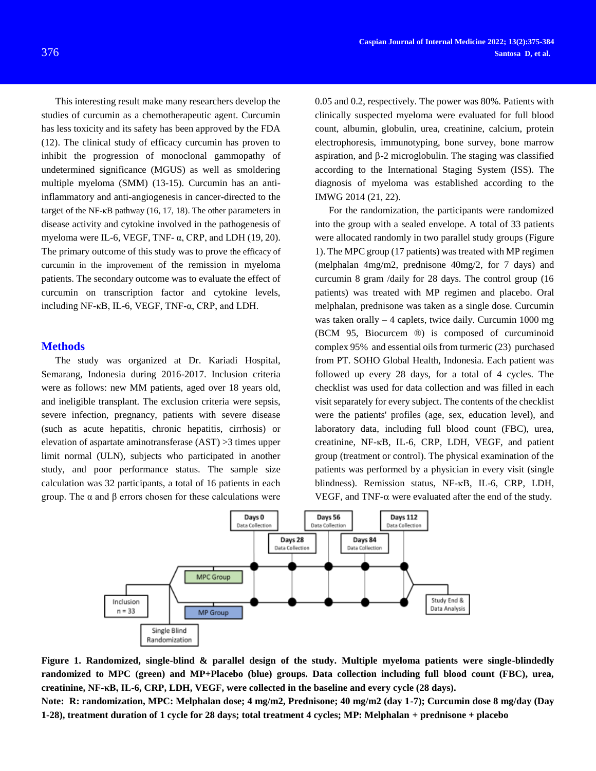This interesting result make many researchers develop the studies of curcumin as a chemotherapeutic agent. Curcumin has less toxicity and its safety has been approved by the FDA (12). The clinical study of efficacy curcumin has proven to inhibit the progression of monoclonal gammopathy of undetermined significance (MGUS) as well as smoldering multiple myeloma (SMM) (13-15). Curcumin has an antiinflammatory and anti-angiogenesis in cancer-directed to the target of the NF-κB pathway (16, 17, 18). The other parameters in disease activity and cytokine involved in the pathogenesis of myeloma were IL-6, VEGF, TNF- $\alpha$ , CRP, and LDH (19, 20). The primary outcome of this study was to prove the efficacy of curcumin in the improvement of the remission in myeloma patients. The secondary outcome was to evaluate the effect of curcumin on transcription factor and cytokine levels, including NF-κB, IL-6, VEGF, TNF-α, CRP, and LDH.

#### **Methods**

The study was organized at Dr. Kariadi Hospital, Semarang, Indonesia during 2016-2017. Inclusion criteria were as follows: new MM patients, aged over 18 years old, and ineligible transplant. The exclusion criteria were sepsis, severe infection, pregnancy, patients with severe disease (such as acute hepatitis, chronic hepatitis, cirrhosis) or elevation of aspartate aminotransferase (AST) >3 times upper limit normal (ULN), subjects who participated in another study, and poor performance status. The sample size calculation was 32 participants, a total of 16 patients in each group. The α and β errors chosen for these calculations were

0.05 and 0.2, respectively. The power was 80%. Patients with clinically suspected myeloma were evaluated for full blood count, albumin, globulin, urea, creatinine, calcium, protein electrophoresis, immunotyping, bone survey, bone marrow aspiration, and  $\beta$ -2 microglobulin. The staging was classified according to the International Staging System (ISS). The diagnosis of myeloma was established according to the IMWG 2014 (21, 22).

For the randomization, the participants were randomized into the group with a sealed envelope. A total of 33 patients were allocated randomly in two parallel study groups (Figure 1). The MPC group (17 patients) was treated with MP regimen (melphalan 4mg/m2, prednisone 40mg/2, for 7 days) and curcumin 8 gram /daily for 28 days. The control group (16 patients) was treated with MP regimen and placebo. Oral melphalan, prednisone was taken as a single dose. Curcumin was taken orally – 4 caplets, twice daily. Curcumin 1000 mg (BCM 95, Biocurcem ®) is composed of curcuminoid complex 95% and essential oils from turmeric (23) purchased from PT. SOHO Global Health, Indonesia. Each patient was followed up every 28 days, for a total of 4 cycles. The checklist was used for data collection and was filled in each visit separately for every subject. The contents of the checklist were the patients' profiles (age, sex, education level), and laboratory data, including full blood count (FBC), urea, creatinine, NF-KB, IL-6, CRP, LDH, VEGF, and patient group (treatment or control). The physical examination of the patients was performed by a physician in every visit (single blindness). Remission status, NF-KB, IL-6, CRP, LDH, VEGF, and TNF- $\alpha$  were evaluated after the end of the study.



**Figure 1. Randomized, single-blind & parallel design of the study. Multiple myeloma patients were single-blindedly randomized to MPC (green) and MP+Placebo (blue) groups. Data collection including full blood count (FBC), urea, creatinine, NF-κB, IL-6, CRP, LDH, VEGF, were collected in the baseline and every cycle (28 days).**

**Note: R: randomization, MPC: Melphalan dose; 4 mg/m2, Prednisone; 40 mg/m2 (day 1-7); Curcumin dose 8 mg/day (Day 1-28), treatment duration of 1 cycle for 28 days; total treatment 4 cycles; MP: Melphalan + prednisone + placebo**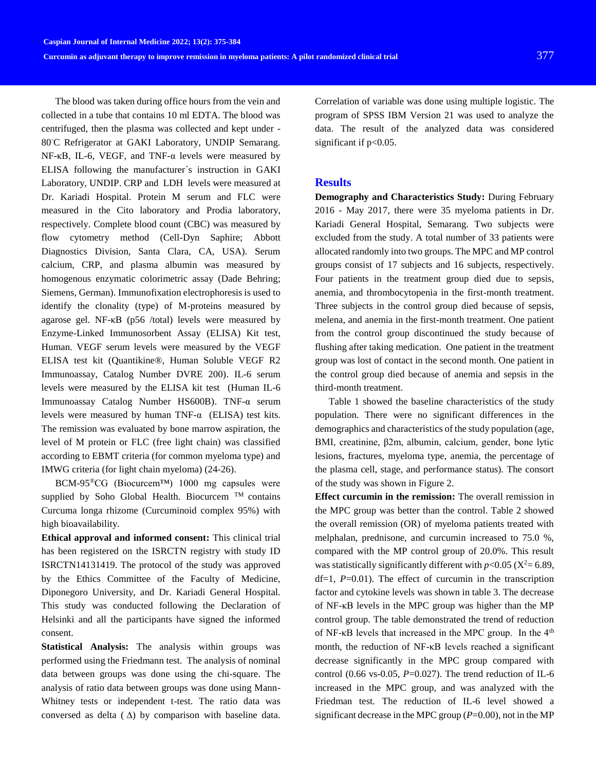The blood was taken during office hours from the vein and collected in a tube that contains 10 ml EDTA. The blood was centrifuged, then the plasma was collected and kept under - 80℃ Refrigerator at GAKI Laboratory, UNDIP Semarang. NF-κB, IL-6, VEGF, and TNF- $α$  levels were measured by ELISA following the manufacturer´s instruction in GAKI Laboratory, UNDIP. CRP and LDH levels were measured at Dr. Kariadi Hospital. Protein M serum and FLC were measured in the Cito laboratory and Prodia laboratory, respectively. Complete blood count (CBC) was measured by flow cytometry method (Cell-Dyn Saphire; Abbott Diagnostics Division, Santa Clara, CA, USA). Serum calcium, CRP, and plasma albumin was measured by homogenous enzymatic colorimetric assay (Dade Behring; Siemens, German). Immunofixation electrophoresis is used to identify the clonality (type) of M-proteins measured by agarose gel. NF-κB (p56 /total) levels were measured by Enzyme-Linked Immunosorbent Assay (ELISA) Kit test, Human. VEGF serum levels were measured by the VEGF ELISA test kit (Quantikine®, Human Soluble VEGF R2 Immunoassay, Catalog Number DVRE 200). IL-6 serum levels were measured by the ELISA kit test (Human IL-6 Immunoassay Catalog Number HS600B). TNF*-*α serum levels were measured by human TNF*-*α (ELISA) test kits. The remission was evaluated by bone marrow aspiration, the level of M protein or FLC (free light chain) was classified according to EBMT criteria (for common myeloma type) and IMWG criteria (for light chain myeloma) (24-26).

BCM-95®CG (Biocurcem™) 1000 mg capsules were supplied by Soho Global Health. Biocurcem  $TM$  contains Curcuma longa rhizome (Curcuminoid complex 95%) with high bioavailability.

**Ethical approval and informed consent:** This clinical trial has been registered on the ISRCTN registry with study ID ISRCTN14131419. The protocol of the study was approved by the Ethics Committee of the Faculty of Medicine, Diponegoro University, and Dr. Kariadi General Hospital. This study was conducted following the Declaration of Helsinki and all the participants have signed the informed consent.

**Statistical Analysis:** The analysis within groups was performed using the Friedmann test. The analysis of nominal data between groups was done using the chi-square. The analysis of ratio data between groups was done using Mann-Whitney tests or independent t-test. The ratio data was conversed as delta  $(\Delta)$  by comparison with baseline data.

Correlation of variable was done using multiple logistic. The program of SPSS IBM Version 21 was used to analyze the data. The result of the analyzed data was considered significant if  $p<0.05$ .

## **Results**

**Demography and Characteristics Study:** During February 2016 - May 2017, there were 35 myeloma patients in Dr. Kariadi General Hospital, Semarang. Two subjects were excluded from the study. A total number of 33 patients were allocated randomly into two groups. The MPC and MP control groups consist of 17 subjects and 16 subjects, respectively. Four patients in the treatment group died due to sepsis, anemia, and thrombocytopenia in the first-month treatment. Three subjects in the control group died because of sepsis, melena, and anemia in the first-month treatment. One patient from the control group discontinued the study because of flushing after taking medication. One patient in the treatment group was lost of contact in the second month. One patient in the control group died because of anemia and sepsis in the third-month treatment.

Table 1 showed the baseline characteristics of the study population. There were no significant differences in the demographics and characteristics of the study population (age, BMI, creatinine, β2m, albumin, calcium, gender, bone lytic lesions, fractures, myeloma type, anemia, the percentage of the plasma cell, stage, and performance status). The consort of the study was shown in Figure 2.

**Effect curcumin in the remission:** The overall remission in the MPC group was better than the control. Table 2 showed the overall remission (OR) of myeloma patients treated with melphalan, prednisone, and curcumin increased to 75.0 %, compared with the MP control group of 20.0%. This result was statistically significantly different with  $p < 0.05$  ( $X^2 = 6.89$ , df=1, *P*=0.01). The effect of curcumin in the transcription factor and cytokine levels was shown in table 3. The decrease of NF-κB levels in the MPC group was higher than the MP control group. The table demonstrated the trend of reduction of NF-κB levels that increased in the MPC group. In the 4th month, the reduction of NF-κB levels reached a significant decrease significantly in the MPC group compared with control (0.66 vs-0.05,  $P=0.027$ ). The trend reduction of IL-6 increased in the MPC group, and was analyzed with the Friedman test. The reduction of IL-6 level showed a significant decrease in the MPC group  $(P=0.00)$ , not in the MP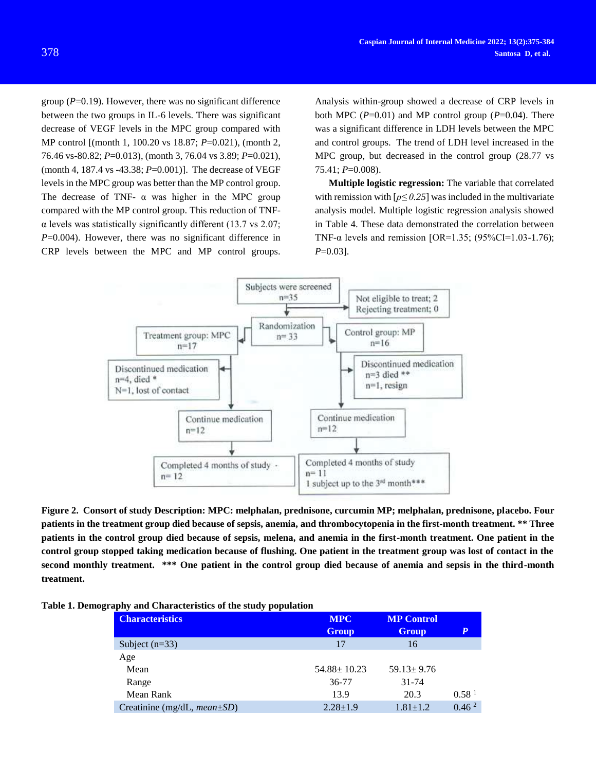group (*P*=0.19). However, there was no significant difference between the two groups in IL-6 levels. There was significant decrease of VEGF levels in the MPC group compared with MP control [(month 1, 100.20 vs 18.87; *P*=0.021), (month 2, 76.46 vs-80.82; *P*=0.013), (month 3, 76.04 vs 3.89; *P*=0.021), (month 4, 187.4 vs -43.38; *P*=0.001)]. The decrease of VEGF levels in the MPC group was better than the MP control group. The decrease of TNF-  $\alpha$  was higher in the MPC group compared with the MP control group. This reduction of TNF- $\alpha$  levels was statistically significantly different (13.7 vs 2.07; *P*=0.004). However, there was no significant difference in CRP levels between the MPC and MP control groups.

Analysis within-group showed a decrease of CRP levels in both MPC  $(P=0.01)$  and MP control group  $(P=0.04)$ . There was a significant difference in LDH levels between the MPC and control groups. The trend of LDH level increased in the MPC group, but decreased in the control group (28.77 vs 75.41; *P*=0.008).

**Multiple logistic regression:** The variable that correlated with remission with  $[p \le 0.25]$  was included in the multivariate analysis model. Multiple logistic regression analysis showed in Table 4. These data demonstrated the correlation between TNF- $\alpha$  levels and remission [OR=1.35; (95%CI=1.03-1.76); *P*=0.03].



**Figure 2. Consort of study Description: MPC: melphalan, prednisone, curcumin MP; melphalan, prednisone, placebo. Four patients in the treatment group died because of sepsis, anemia, and thrombocytopenia in the first-month treatment. \*\* Three patients in the control group died because of sepsis, melena, and anemia in the first-month treatment. One patient in the control group stopped taking medication because of flushing. One patient in the treatment group was lost of contact in the second monthly treatment. \*\*\* One patient in the control group died because of anemia and sepsis in the third-month treatment.**

| <b>MPC</b>        | <b>MP Control</b> |                   |  |
|-------------------|-------------------|-------------------|--|
| <b>Group</b>      | <b>Group</b>      |                   |  |
| 17                | 16                |                   |  |
|                   |                   |                   |  |
| $54.88 \pm 10.23$ | $59.13 \pm 9.76$  |                   |  |
| 36-77             | $31 - 74$         |                   |  |
| 13.9              | 20.3              | 0.58 <sup>1</sup> |  |
| $2.28 \pm 1.9$    | $1.81 \pm 1.2$    | 0.46 <sup>2</sup> |  |
|                   |                   |                   |  |

|  |  | Table 1. Demography and Characteristics of the study population |  |  |  |  |
|--|--|-----------------------------------------------------------------|--|--|--|--|
|--|--|-----------------------------------------------------------------|--|--|--|--|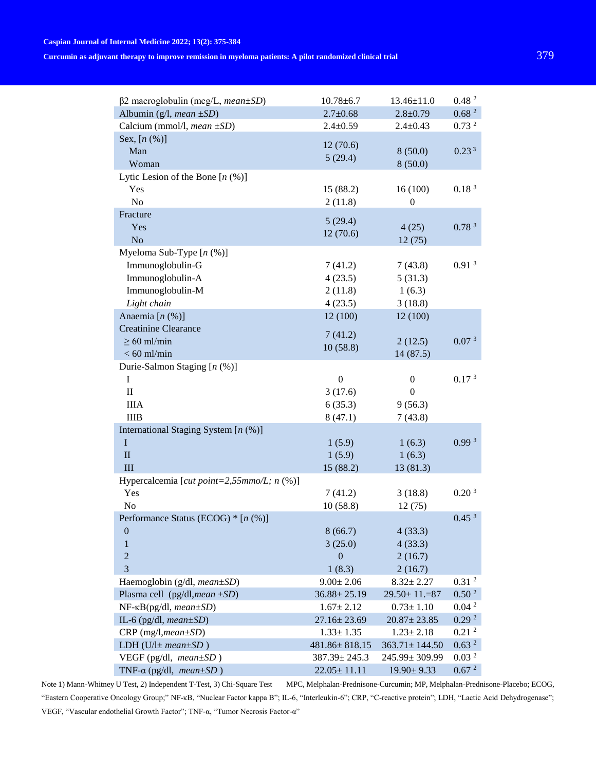#### **Caspian Journal of Internal Medicine 2022; 13(2): 375-384**

# **Curcumin as adjuvant therapy to improve remission in myeloma patients: A pilot randomized clinical trial** 379

| $\beta$ 2 macroglobulin (mcg/L, mean $\pm SD$ )             | $10.78 \pm 6.7$   | $13.46 \pm 11.0$     | 0.48 <sup>2</sup> |
|-------------------------------------------------------------|-------------------|----------------------|-------------------|
| Albumin (g/l, mean $\pm SD$ )                               | $2.7 \pm 0.68$    | $2.8 \pm 0.79$       | 0.68 <sup>2</sup> |
| Calcium (mmol/l, mean ±SD)                                  | $2.4 \pm 0.59$    | $2.4 \pm 0.43$       | 0.73 <sup>2</sup> |
| Sex, $[n (%)]$                                              |                   |                      |                   |
| Man                                                         | 12(70.6)          | 8(50.0)              | 0.23 <sup>3</sup> |
| Woman                                                       | 5(29.4)           | 8(50.0)              |                   |
| Lytic Lesion of the Bone $[n (\%)]$                         |                   |                      |                   |
| Yes                                                         | 15 (88.2)         | 16(100)              | 0.18 <sup>3</sup> |
| No                                                          | 2(11.8)           | $\overline{0}$       |                   |
| Fracture                                                    |                   |                      |                   |
| Yes                                                         | 5(29.4)           | 4(25)                | 0.78 <sup>3</sup> |
| No                                                          | 12(70.6)          | 12(75)               |                   |
| Myeloma Sub-Type $[n (\%)]$                                 |                   |                      |                   |
| Immunoglobulin-G                                            | 7(41.2)           | 7(43.8)              | 0.91 <sup>3</sup> |
| Immunoglobulin-A                                            | 4(23.5)           | 5(31.3)              |                   |
| Immunoglobulin-M                                            | 2(11.8)           | 1(6.3)               |                   |
| Light chain                                                 | 4(23.5)           | 3(18.8)              |                   |
| Anaemia $[n (%)]$                                           | 12(100)           | 12(100)              |                   |
| <b>Creatinine Clearance</b>                                 |                   |                      |                   |
| $\geq 60$ ml/min                                            | 7(41.2)           | 2(12.5)              | 0.07 <sup>3</sup> |
| $< 60$ ml/min                                               | 10(58.8)          | 14(87.5)             |                   |
| Durie-Salmon Staging $[n (\%)]$                             |                   |                      |                   |
| I                                                           | $\mathbf{0}$      | $\boldsymbol{0}$     | 0.17 <sup>3</sup> |
| $\mathbf{I}$                                                | 3(17.6)           | $\boldsymbol{0}$     |                   |
| <b>IIIA</b>                                                 | 6(35.3)           | 9(56.3)              |                   |
| <b>IIIB</b>                                                 | 8(47.1)           | 7(43.8)              |                   |
| International Staging System $[n \ (\%)]$                   |                   |                      |                   |
| $\bf I$                                                     | 1(5.9)            | 1(6.3)               | 0.99 <sup>3</sup> |
| $\mathbf{I}$                                                | 1(5.9)            | 1(6.3)               |                   |
| III                                                         | 15 (88.2)         | 13 (81.3)            |                   |
| Hypercalcemia [ <i>cut point</i> =2,55 $mmo/L$ ; n $(\%)$ ] |                   |                      |                   |
| Yes                                                         | 7(41.2)           | 3(18.8)              | 0.20 <sup>3</sup> |
| N <sub>o</sub>                                              | 10(58.8)          | 12(75)               |                   |
| Performance Status (ECOG) $*$ [n $(\%)$ ]                   |                   |                      | 0.45 <sup>3</sup> |
| $\boldsymbol{0}$                                            | 8(66.7)           | 4(33.3)              |                   |
| $\mathbf{1}$                                                | 3(25.0)           | 4(33.3)              |                   |
| $\overline{2}$                                              | $\overline{0}$    | 2(16.7)              |                   |
| 3                                                           | 1(8.3)            | 2(16.7)              |                   |
| Haemoglobin (g/dl, $mean \pm SD$ )                          | $9.00 \pm 2.06$   | $8.32 \pm 2.27$      | 0.31 <sup>2</sup> |
| Plasma cell (pg/dl, mean $\pm SD$ )                         | $36.88 \pm 25.19$ | $29.50 \pm 11. = 87$ | 0.50 <sup>2</sup> |
| $NF$ - $\kappa B(pg/dl, mean \pm SD)$                       | $1.67 \pm 2.12$   | $0.73 \pm 1.10$      | 0.04 <sup>2</sup> |
| IL-6 (pg/dl, $mean \pm SD$ )                                | $27.16 \pm 23.69$ | $20.87 \pm 23.85$    | 0.29 <sup>2</sup> |
| $CRP$ (mg/l, mean $\pm SD$ )                                | $1.33 \pm 1.35$   | $1.23 \pm 2.18$      | 0.21 <sup>2</sup> |
| LDH ( $U/\pm$ mean $\pm SD$ )                               | 481.86±818.15     | $363.71 \pm 144.50$  | 0.63 <sup>2</sup> |
| VEGF (pg/dl, $mean \pm SD$ )                                | 387.39± 245.3     | 245.99±309.99        | 0.03 <sup>2</sup> |
| TNF- $\alpha$ (pg/dl, mean $\pm SD$ )                       | $22.05 \pm 11.11$ | $19.90 \pm 9.33$     | 0.67 <sup>2</sup> |
|                                                             |                   |                      |                   |

Note 1) Mann-Whitney U Test, 2) Independent T-Test, 3) Chi-Square Test MPC, Melphalan-Prednisone-Curcumin; MP, Melphalan-Prednisone-Placebo; ECOG, "Eastern Cooperative Oncology Group;" NF-κB, "Nuclear Factor kappa B"; IL-6, "Interleukin-6"; CRP, "C-reactive protein"; LDH, "Lactic Acid Dehydrogenase"; VEGF, "Vascular endothelial Growth Factor"; TNF-α, "Tumor Necrosis Factor-α"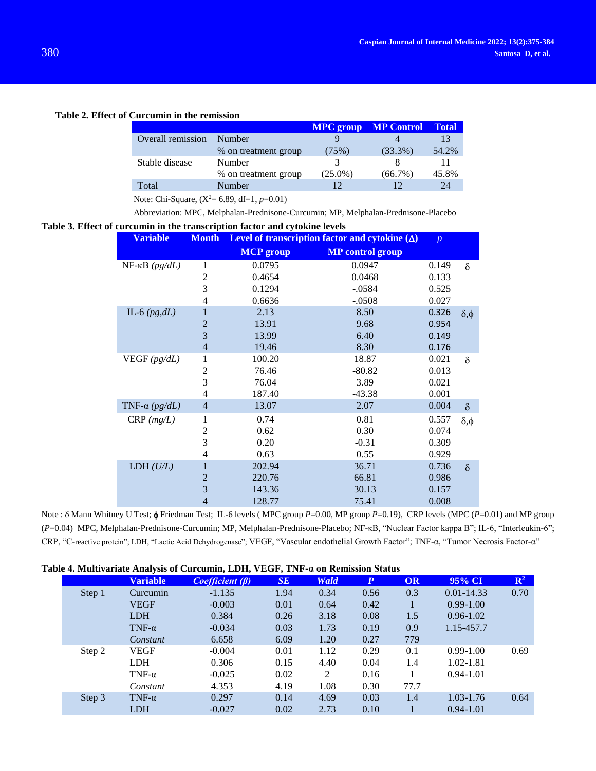## **Table 2. Effect of Curcumin in the remission**

|                   |                      |               | <b>MPC</b> group MP Control Total |       |
|-------------------|----------------------|---------------|-----------------------------------|-------|
| Overall remission | Number               |               |                                   | 13    |
|                   | % on treatment group | (75%)         | $(33.3\%)$                        | 54.2% |
| Stable disease    | Number               | $\mathcal{R}$ |                                   |       |
|                   | % on treatment group | $(25.0\%)$    | (66.7%)                           | 45.8% |
| Total             | Number               |               | 12                                | 24    |

Note: Chi-Square,  $(X^2= 6.89, df=1, p=0.01)$ 

Abbreviation: MPC, Melphalan-Prednisone-Curcumin; MP, Melphalan-Prednisone-Placebo

## **Table 3. Effect of curcumin in the transcription factor and cytokine levels**

| <b>Variable</b>               | <b>Month</b>   | Level of transcription factor and cytokine $(\Delta)$ |                         |       |                |
|-------------------------------|----------------|-------------------------------------------------------|-------------------------|-------|----------------|
|                               |                | <b>MCP</b> group                                      | <b>MP</b> control group |       |                |
| $NF$ - $\kappa B$ ( $pg/dL$ ) | 1              | 0.0795                                                | 0.0947                  | 0.149 | $\delta$       |
|                               | 2              | 0.4654                                                | 0.0468                  | 0.133 |                |
|                               | 3              | 0.1294                                                | $-.0584$                | 0.525 |                |
|                               | 4              | 0.6636                                                | $-.0508$                | 0.027 |                |
| IL-6 $(pg,dL)$                | 1              | 2.13                                                  | 8.50                    | 0.326 | $\delta, \phi$ |
|                               | $\overline{2}$ | 13.91                                                 | 9.68                    | 0.954 |                |
|                               | 3              | 13.99                                                 | 6.40                    | 0.149 |                |
|                               | $\overline{4}$ | 19.46                                                 | 8.30                    | 0.176 |                |
| VEGF $(pg/dL)$                | $\mathbf{1}$   | 100.20                                                | 18.87                   | 0.021 | $\delta$       |
|                               | 2              | 76.46                                                 | $-80.82$                | 0.013 |                |
|                               | 3              | 76.04                                                 | 3.89                    | 0.021 |                |
|                               | 4              | 187.40                                                | $-43.38$                | 0.001 |                |
| TNF- $\alpha$ (pg/dL)         | $\overline{4}$ | 13.07                                                 | 2.07                    | 0.004 | $\delta$       |
| $CRP$ ( <i>mg/L</i> )         | 1              | 0.74                                                  | 0.81                    | 0.557 | $\delta, \phi$ |
|                               | 2              | 0.62                                                  | 0.30                    | 0.074 |                |
|                               | 3              | 0.20                                                  | $-0.31$                 | 0.309 |                |
|                               | 4              | 0.63                                                  | 0.55                    | 0.929 |                |
| LDH $(U/L)$                   | $\mathbf{1}$   | 202.94                                                | 36.71                   | 0.736 | $\delta$       |
|                               | $\overline{2}$ | 220.76                                                | 66.81                   | 0.986 |                |
|                               | 3              | 143.36                                                | 30.13                   | 0.157 |                |
|                               | 4              | 128.77                                                | 75.41                   | 0.008 |                |

Note :  $\delta$  Mann Whitney U Test;  $\phi$  Friedman Test; IL-6 levels (MPC group *P*=0.00, MP group *P*=0.19), CRP levels (MPC (*P*=0.01) and MP group (*P*=0.04) MPC, Melphalan-Prednisone-Curcumin; MP, Melphalan-Prednisone-Placebo; NF-κB, "Nuclear Factor kappa B"; IL-6, "Interleukin-6"; CRP, "C-reactive protein"; LDH, "Lactic Acid Dehydrogenase"; VEGF, "Vascular endothelial Growth Factor"; TNF-α, "Tumor Necrosis Factor-α"

|  | Table 4. Multivariate Analysis of Curcumin, LDH, VEGF, TNF-a on Remission Status |  |  |  |
|--|----------------------------------------------------------------------------------|--|--|--|
|--|----------------------------------------------------------------------------------|--|--|--|

| юк <del>т</del> . миничанай Анагузь от Сигейшін, ЕРН, темп, тімг-й он кеннэзіон этатиз |        |                 |                      |      |             |                  |      |                |                |
|----------------------------------------------------------------------------------------|--------|-----------------|----------------------|------|-------------|------------------|------|----------------|----------------|
|                                                                                        |        | <b>Variable</b> | $Coefficient(\beta)$ | SE   | <b>Wald</b> | $\boldsymbol{P}$ | OR   | 95% CI         | $\mathbb{R}^2$ |
|                                                                                        | Step 1 | Curcumin        | $-1.135$             | 1.94 | 0.34        | 0.56             | 0.3  | $0.01 - 14.33$ | 0.70           |
|                                                                                        |        | <b>VEGF</b>     | $-0.003$             | 0.01 | 0.64        | 0.42             |      | $0.99 - 1.00$  |                |
|                                                                                        |        | LDH.            | 0.384                | 0.26 | 3.18        | 0.08             | 1.5  | $0.96 - 1.02$  |                |
|                                                                                        |        | TNF- $\alpha$   | $-0.034$             | 0.03 | 1.73        | 0.19             | 0.9  | 1.15-457.7     |                |
|                                                                                        |        | Constant        | 6.658                | 6.09 | 1.20        | 0.27             | 779  |                |                |
|                                                                                        | Step 2 | <b>VEGF</b>     | $-0.004$             | 0.01 | 1.12        | 0.29             | 0.1  | $0.99 - 1.00$  | 0.69           |
|                                                                                        |        | <b>LDH</b>      | 0.306                | 0.15 | 4.40        | 0.04             | 1.4  | $1.02 - 1.81$  |                |
|                                                                                        |        | TNF- $\alpha$   | $-0.025$             | 0.02 | 2           | 0.16             |      | $0.94 - 1.01$  |                |
|                                                                                        |        | Constant        | 4.353                | 4.19 | 1.08        | 0.30             | 77.7 |                |                |
|                                                                                        | Step 3 | TNF- $\alpha$   | 0.297                | 0.14 | 4.69        | 0.03             | 1.4  | $1.03 - 1.76$  | 0.64           |
|                                                                                        |        | LDH             | $-0.027$             | 0.02 | 2.73        | 0.10             |      | $0.94 - 1.01$  |                |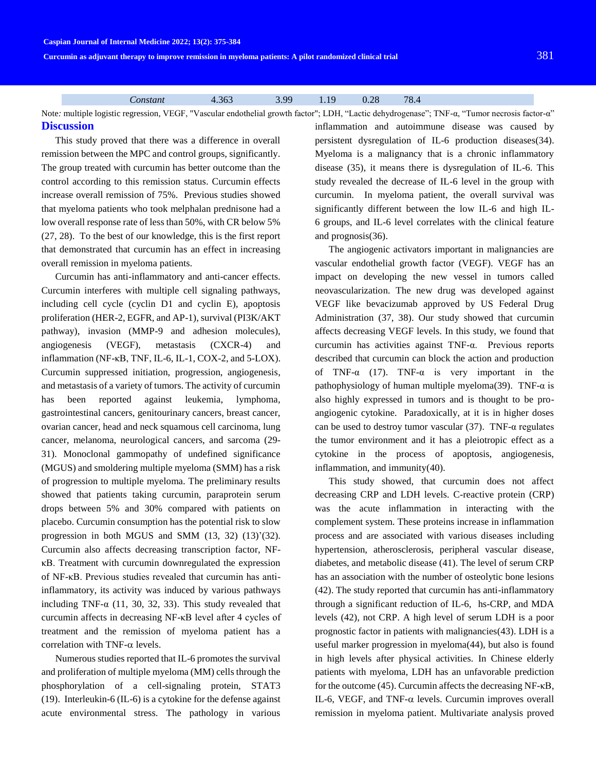**Curcumin as adjuvant therapy to improve remission in myeloma patients: A pilot randomized clinical trial** 381

*Constant* 4.363 3.99 1.19 0.28 78.4

Note*:* multiple logistic regression*,* VEGF, "Vascular endothelial growth factor"; LDH, "Lactic dehydrogenase"; TNF-α, "Tumor necrosis factor-α" **Discussion**

This study proved that there was a difference in overall remission between the MPC and control groups, significantly. The group treated with curcumin has better outcome than the control according to this remission status. Curcumin effects increase overall remission of 75%. Previous studies showed that myeloma patients who took melphalan prednisone had a low overall response rate of less than 50%, with CR below 5% (27, 28). To the best of our knowledge, this is the first report that demonstrated that curcumin has an effect in increasing overall remission in myeloma patients.

Curcumin has anti-inflammatory and anti-cancer effects. Curcumin interferes with multiple cell signaling pathways, including cell cycle (cyclin D1 and cyclin E), apoptosis proliferation (HER-2, EGFR, and AP-1), survival (PI3K/AKT pathway), invasion (MMP-9 and adhesion molecules), angiogenesis (VEGF), metastasis (CXCR-4) and inflammation (NF-κB, TNF, IL-6, IL-1, COX-2, and 5-LOX). Curcumin suppressed initiation, progression, angiogenesis, and metastasis of a variety of tumors. The activity of curcumin has been reported against leukemia, lymphoma, gastrointestinal cancers, genitourinary cancers, breast cancer, ovarian cancer, head and neck squamous cell carcinoma, lung cancer, melanoma, neurological cancers, and sarcoma (29- 31). Monoclonal gammopathy of undefined significance (MGUS) and smoldering multiple myeloma (SMM) has a risk of progression to multiple myeloma. The preliminary results showed that patients taking curcumin, paraprotein serum drops between 5% and 30% compared with patients on placebo. Curcumin consumption has the potential risk to slow progression in both MGUS and SMM (13, 32) (13)'(32). Curcumin also affects decreasing transcription factor, NFκB. Treatment with curcumin downregulated the expression of NF-κB. Previous studies revealed that curcumin has antiinflammatory, its activity was induced by various pathways including TNF- $\alpha$  (11, 30, 32, 33). This study revealed that curcumin affects in decreasing NF-κB level after 4 cycles of treatment and the remission of myeloma patient has a correlation with TNF- $\alpha$  levels.

Numerous studies reported that IL-6 promotes the survival and proliferation of multiple myeloma (MM) cells through the phosphorylation of a cell-signaling protein, STAT3 (19). Interleukin-6 (IL-6) is a cytokine for the defense against acute environmental stress. The pathology in various inflammation and autoimmune disease was caused by persistent dysregulation of IL-6 production diseases(34). Myeloma is a malignancy that is a chronic inflammatory disease (35), it means there is dysregulation of IL-6. This study revealed the decrease of IL-6 level in the group with curcumin. In myeloma patient, the overall survival was significantly different between the low IL-6 and high IL-6 groups, and IL-6 level correlates with the clinical feature and prognosis(36).

The angiogenic activators important in malignancies are vascular endothelial growth factor (VEGF). VEGF has an impact on developing the new vessel in tumors called neovascularization. The new drug was developed against VEGF like bevacizumab approved by US Federal Drug Administration (37, 38). Our study showed that curcumin affects decreasing VEGF levels. In this study, we found that curcumin has activities against TNF-α. Previous reports described that curcumin can block the action and production of TNF- $\alpha$  (17). TNF- $\alpha$  is very important in the pathophysiology of human multiple myeloma(39). TNF-α is also highly expressed in tumors and is thought to be proangiogenic cytokine. Paradoxically, at it is in higher doses can be used to destroy tumor vascular  $(37)$ . TNF- $\alpha$  regulates the tumor environment and it has a pleiotropic effect as a cytokine in the process of apoptosis, angiogenesis, inflammation, and immunity(40).

This study showed, that curcumin does not affect decreasing CRP and LDH levels. C-reactive protein (CRP) was the acute inflammation in interacting with the complement system. These proteins increase in inflammation process and are associated with various diseases including hypertension, atherosclerosis, peripheral vascular disease, diabetes, and metabolic disease (41). The level of serum CRP has an association with the number of osteolytic bone lesions (42). The study reported that curcumin has anti-inflammatory through a significant reduction of IL-6, hs-CRP, and MDA levels (42), not CRP. A high level of serum LDH is a poor prognostic factor in patients with malignancies(43). LDH is a useful marker progression in myeloma(44), but also is found in high levels after physical activities. In Chinese elderly patients with myeloma, LDH has an unfavorable prediction for the outcome (45). Curcumin affects the decreasing NF-κB, IL-6, VEGF, and TNF- $\alpha$  levels. Curcumin improves overall remission in myeloma patient. Multivariate analysis proved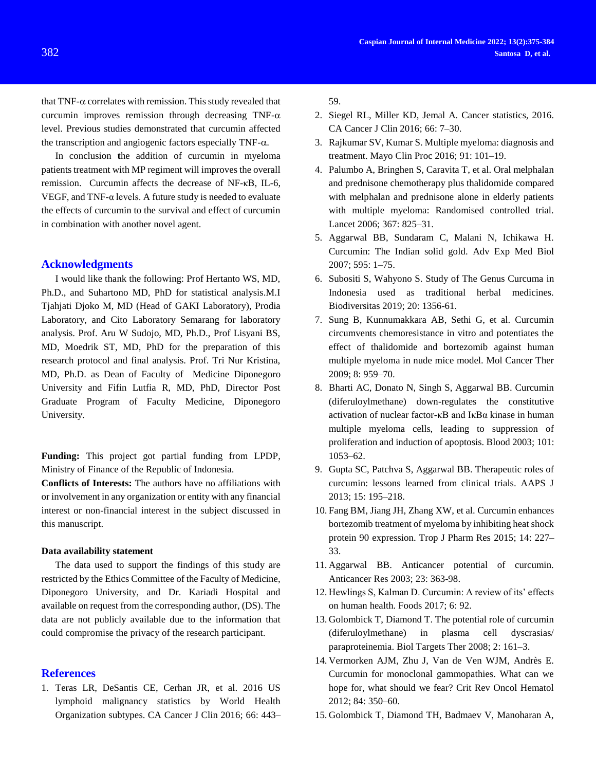that TNF- $\alpha$  correlates with remission. This study revealed that curcumin improves remission through decreasing TNF- $\alpha$ level. Previous studies demonstrated that curcumin affected the transcription and angiogenic factors especially TNF- $\alpha$ .

In conclusion **t**he addition of curcumin in myeloma patients treatment with MP regiment will improves the overall remission. Curcumin affects the decrease of NF-κB, IL-6, VEGF, and TNF-α levels. A future study is needed to evaluate the effects of curcumin to the survival and effect of curcumin in combination with another novel agent.

#### **Acknowledgments**

I would like thank the following: Prof Hertanto WS, MD, Ph.D., and Suhartono MD, PhD for statistical analysis.M.I Tjahjati Djoko M, MD (Head of GAKI Laboratory), Prodia Laboratory, and Cito Laboratory Semarang for laboratory analysis. Prof. Aru W Sudojo, MD, Ph.D., Prof Lisyani BS, MD, Moedrik ST, MD, PhD for the preparation of this research protocol and final analysis. Prof. Tri Nur Kristina, MD, Ph.D. as Dean of Faculty of Medicine Diponegoro University and Fifin Lutfia R, MD, PhD, Director Post Graduate Program of Faculty Medicine, Diponegoro University.

**Funding:** This project got partial funding from LPDP, Ministry of Finance of the Republic of Indonesia.

**Conflicts of Interests:** The authors have no affiliations with or involvement in any organization or entity with any financial interest or non-financial interest in the subject discussed in this manuscript.

#### **Data availability statement**

The data used to support the findings of this study are restricted by the Ethics Committee of the Faculty of Medicine, Diponegoro University, and Dr. Kariadi Hospital and available on request from the corresponding author, (DS). The data are not publicly available due to the information that could compromise the privacy of the research participant.

#### **References**

1. Teras LR, DeSantis CE, Cerhan JR, et al. 2016 US lymphoid malignancy statistics by World Health Organization subtypes. CA Cancer J Clin 2016; 66: 443– 59.

- 2. Siegel RL, Miller KD, Jemal A. Cancer statistics, 2016. CA Cancer J Clin 2016; 66: 7–30.
- 3. Rajkumar SV, Kumar S. Multiple myeloma: diagnosis and treatment. Mayo Clin Proc 2016; 91: 101–19.
- 4. Palumbo A, Bringhen S, Caravita T, et al. Oral melphalan and prednisone chemotherapy plus thalidomide compared with melphalan and prednisone alone in elderly patients with multiple myeloma: Randomised controlled trial. Lancet 2006; 367: 825–31.
- 5. Aggarwal BB, Sundaram C, Malani N, Ichikawa H. Curcumin: The Indian solid gold. Adv Exp Med Biol 2007; 595: 1–75.
- 6. Subositi S, Wahyono S. Study of The Genus Curcuma in Indonesia used as traditional herbal medicines. Biodiversitas 2019; 20: 1356-61.
- 7. Sung B, Kunnumakkara AB, Sethi G, et al. Curcumin circumvents chemoresistance in vitro and potentiates the effect of thalidomide and bortezomib against human multiple myeloma in nude mice model. Mol Cancer Ther 2009; 8: 959–70.
- 8. Bharti AC, Donato N, Singh S, Aggarwal BB. Curcumin (diferuloylmethane) down-regulates the constitutive activation of nuclear factor-κB and IκBα kinase in human multiple myeloma cells, leading to suppression of proliferation and induction of apoptosis. Blood 2003; 101: 1053–62.
- 9. Gupta SC, Patchva S, Aggarwal BB. Therapeutic roles of curcumin: lessons learned from clinical trials. AAPS J 2013; 15: 195–218.
- 10. Fang BM, Jiang JH, Zhang XW, et al. Curcumin enhances bortezomib treatment of myeloma by inhibiting heat shock protein 90 expression. Trop J Pharm Res 2015; 14: 227– 33.
- 11. Aggarwal BB. Anticancer potential of curcumin. Anticancer Res 2003; 23: 363-98.
- 12. Hewlings S, Kalman D. Curcumin: A review of its' effects on human health. Foods 2017; 6: 92.
- 13. Golombick T, Diamond T. The potential role of curcumin (diferuloylmethane) in plasma cell dyscrasias/ paraproteinemia. Biol Targets Ther 2008; 2: 161–3.
- 14. Vermorken AJM, Zhu J, Van de Ven WJM, Andrès E. Curcumin for monoclonal gammopathies. What can we hope for, what should we fear? Crit Rev Oncol Hematol 2012; 84: 350–60.
- 15. Golombick T, Diamond TH, Badmaev V, Manoharan A,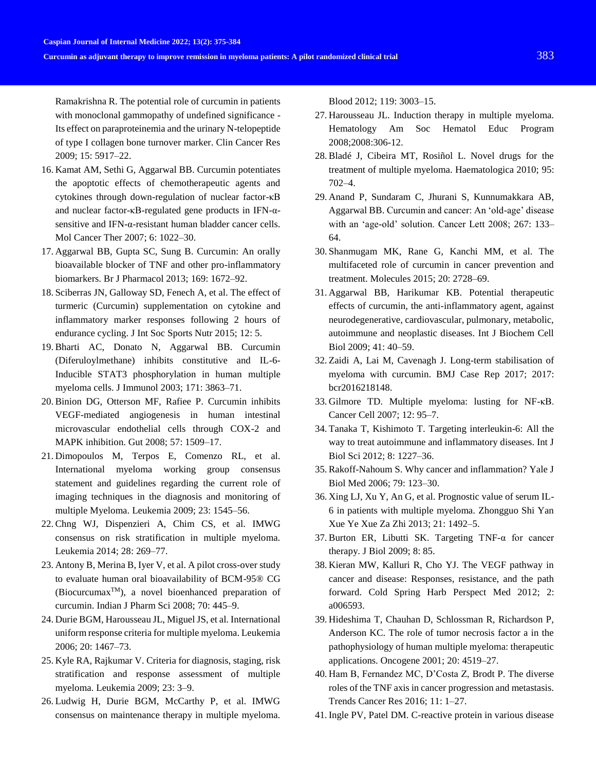Ramakrishna R. The potential role of curcumin in patients with monoclonal gammopathy of undefined significance - Its effect on paraproteinemia and the urinary N-telopeptide of type I collagen bone turnover marker. Clin Cancer Res 2009; 15: 5917–22.

- 16. Kamat AM, Sethi G, Aggarwal BB. Curcumin potentiates the apoptotic effects of chemotherapeutic agents and cytokines through down-regulation of nuclear factor-κB and nuclear factor-κB-regulated gene products in IFN-αsensitive and IFN-α-resistant human bladder cancer cells. Mol Cancer Ther 2007; 6: 1022–30.
- 17. Aggarwal BB, Gupta SC, Sung B. Curcumin: An orally bioavailable blocker of TNF and other pro-inflammatory biomarkers. Br J Pharmacol 2013; 169: 1672–92.
- 18. Sciberras JN, Galloway SD, Fenech A, et al. The effect of turmeric (Curcumin) supplementation on cytokine and inflammatory marker responses following 2 hours of endurance cycling. J Int Soc Sports Nutr 2015; 12: 5.
- 19. Bharti AC, Donato N, Aggarwal BB. Curcumin (Diferuloylmethane) inhibits constitutive and IL-6- Inducible STAT3 phosphorylation in human multiple myeloma cells. J Immunol 2003; 171: 3863–71.
- 20. Binion DG, Otterson MF, Rafiee P. Curcumin inhibits VEGF-mediated angiogenesis in human intestinal microvascular endothelial cells through COX-2 and MAPK inhibition. Gut 2008; 57: 1509–17.
- 21. Dimopoulos M, Terpos E, Comenzo RL, et al. International myeloma working group consensus statement and guidelines regarding the current role of imaging techniques in the diagnosis and monitoring of multiple Myeloma. Leukemia 2009; 23: 1545–56.
- 22. Chng WJ, Dispenzieri A, Chim CS, et al. IMWG consensus on risk stratification in multiple myeloma. Leukemia 2014; 28: 269–77.
- 23. Antony B, Merina B, Iyer V, et al. A pilot cross-over study to evaluate human oral bioavailability of BCM-95® CG  $(Biocur cumax^{TM})$ , a novel bioenhanced preparation of curcumin. Indian J Pharm Sci 2008; 70: 445–9.
- 24. Durie BGM, Harousseau JL, Miguel JS, et al. International uniform response criteria for multiple myeloma. Leukemia 2006; 20: 1467–73.
- 25. Kyle RA, Rajkumar V. Criteria for diagnosis, staging, risk stratification and response assessment of multiple myeloma. Leukemia 2009; 23: 3–9.
- 26. Ludwig H, Durie BGM, McCarthy P, et al. IMWG consensus on maintenance therapy in multiple myeloma.

Blood 2012; 119: 3003–15.

- 27. Harousseau JL. Induction therapy in multiple myeloma. Hematology Am Soc Hematol Educ Program 2008;2008:306-12.
- 28. Bladé J, Cibeira MT, Rosiñol L. Novel drugs for the treatment of multiple myeloma. Haematologica 2010; 95: 702–4.
- 29. Anand P, Sundaram C, Jhurani S, Kunnumakkara AB, Aggarwal BB. Curcumin and cancer: An 'old-age' disease with an 'age-old' solution. Cancer Lett 2008; 267: 133– 64.
- 30. Shanmugam MK, Rane G, Kanchi MM, et al. The multifaceted role of curcumin in cancer prevention and treatment. Molecules 2015; 20: 2728–69.
- 31. Aggarwal BB, Harikumar KB. Potential therapeutic effects of curcumin, the anti-inflammatory agent, against neurodegenerative, cardiovascular, pulmonary, metabolic, autoimmune and neoplastic diseases. Int J Biochem Cell Biol 2009; 41: 40–59.
- 32. Zaidi A, Lai M, Cavenagh J. Long-term stabilisation of myeloma with curcumin. BMJ Case Rep 2017; 2017: bcr2016218148.
- 33. Gilmore TD. Multiple myeloma: lusting for NF-κB. Cancer Cell 2007; 12: 95–7.
- 34. Tanaka T, Kishimoto T. Targeting interleukin-6: All the way to treat autoimmune and inflammatory diseases. Int J Biol Sci 2012; 8: 1227–36.
- 35. Rakoff-Nahoum S. Why cancer and inflammation? Yale J Biol Med 2006; 79: 123–30.
- 36. Xing LJ, Xu Y, An G, et al. Prognostic value of serum IL-6 in patients with multiple myeloma. Zhongguo Shi Yan Xue Ye Xue Za Zhi 2013; 21: 1492–5.
- 37. Burton ER, Libutti SK. Targeting TNF-α for cancer therapy. J Biol 2009; 8: 85.
- 38. Kieran MW, Kalluri R, Cho YJ. The VEGF pathway in cancer and disease: Responses, resistance, and the path forward. Cold Spring Harb Perspect Med 2012; 2: a006593.
- 39. Hideshima T, Chauhan D, Schlossman R, Richardson P, Anderson KC. The role of tumor necrosis factor a in the pathophysiology of human multiple myeloma: therapeutic applications. Oncogene 2001; 20: 4519–27.
- 40. Ham B, Fernandez MC, D'Costa Z, Brodt P. The diverse roles of the TNF axis in cancer progression and metastasis. Trends Cancer Res 2016; 11: 1–27.
- 41. Ingle PV, Patel DM. C-reactive protein in various disease